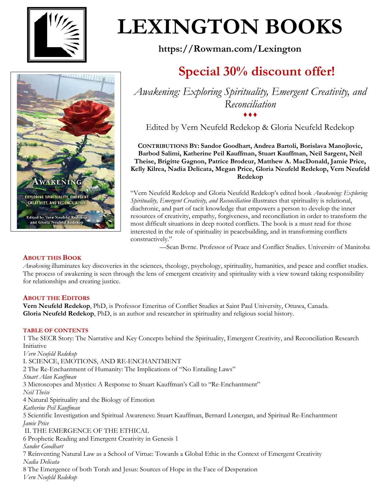

# **LEXINGTON BOOKS**

**https://Rowman.com/Lexington**

## **Special 30% discount offer!**



*Awakening: Exploring Spirituality, Emergent Creativity, and Reconciliation* ♦♦♦

Edited by Vern Neufeld Redekop & Gloria Neufeld Redekop

**CONTRIBUTIONS BY: Sandor Goodhart, Andrea Bartoli, Borislava Manojlovic, Barbod Salimi, Katherine Peil Kauffman, Stuart Kauffman, Neil Sargent, Neil Theise, Brigitte Gagnon, Patrice Brodeur, Matthew A. MacDonald, Jamie Price, Kelly Kilrea, Nadia Delicata, Megan Price, Gloria Neufeld Redekop, Vern Neufeld Redekop**

"Vern Neufeld Redekop and Gloria Neufeld Redekop's edited book *Awakening: Exploring Spirituality, Emergent Creativity, and Reconciliation* illustrates that spirituality is relational, diachronic, and part of tacit knowledge that empowers a person to develop the inner resources of creativity, empathy, forgiveness, and reconciliation in order to transform the most difficult situations in deep rooted conflicts. The book is a must read for those interested in the role of spirituality in peacebuilding, and in transforming conflicts constructively."

—Sean Byrne, Professor of Peace and Conflict Studies, University of Manitoba

### **ABOUT THIS BOOK**

*Awakening* illuminates key discoveries in the sciences, theology, psychology, spirituality, humanities, and peace and conflict studies. The process of awakening is seen through the lens of emergent creativity and spirituality with a view toward taking responsibility for relationships and creating justice.

### **ABOUT THE EDITORS**

**Vern Neufeld Redekop**, PhD, is Professor Emeritus of Conflict Studies at Saint Paul University, Ottawa, Canada. **Gloria Neufeld Redekop**, PhD, is an author and researcher in spirituality and religious social history.

#### **TABLE OF CONTENTS**

1 The SECR Story: The Narrative and Key Concepts behind the Spirituality, Emergent Creativity, and Reconciliation Research Initiative *Vern Neufeld Redekop* I. SCIENCE, EMOTIONS, AND RE-ENCHANTMENT 2 The Re-Enchantment of Humanity: The Implications of "No Entailing Laws" *Stuart Alan Kauffman* 3 Microscopes and Mystics: A Response to Stuart Kauffman's Call to "Re-Enchantment" *Neil Theise* 4 Natural Spirituality and the Biology of Emotion *Katherine Peil Kauffman* 5 Scientific Investigation and Spiritual Awareness: Stuart Kauffman, Bernard Lonergan, and Spiritual Re-Enchantment *Jamie Price* II. THE EMERGENCE OF THE ETHICAL 6 Prophetic Reading and Emergent Creativity in Genesis 1 *Sandor Goodhart* 7 Reinventing Natural Law as a School of Virtue: Towards a Global Ethic in the Context of Emergent Creativity *Nadia Delicata* 8 The Emergence of both Torah and Jesus: Sources of Hope in the Face of Desperation *Vern Neufeld Redekop*